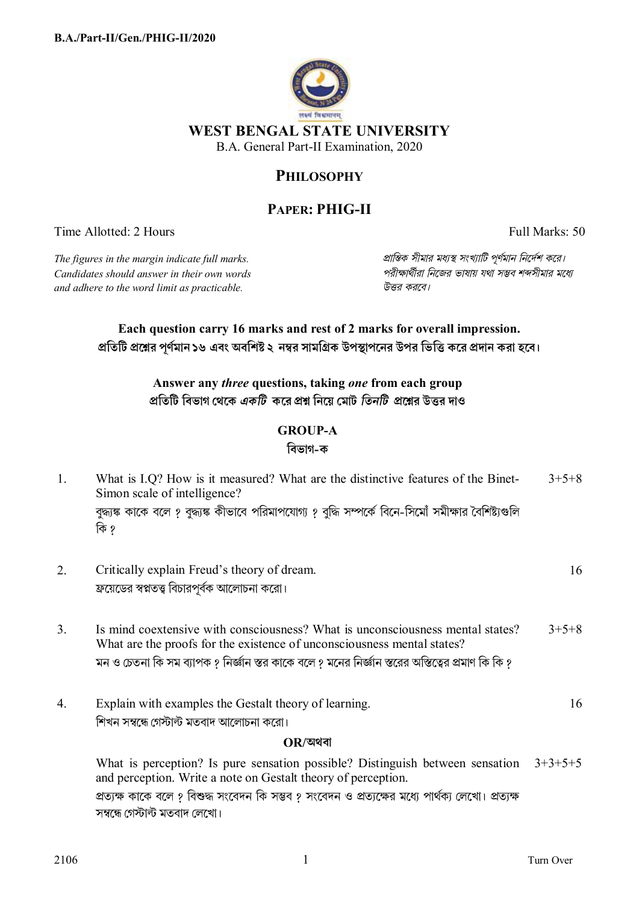

## **PHILOSOPHY**

# **PAPER: PHIG-II**

Time Allotted: 2 Hours Full Marks: 50

*Candidates should answer in their own words পরীkাথীরা িনেজর ভাষায় যথা সmব শbসীমার মেধ° and adhere to the word limit as practicable. উtর করেব।*

*The figures in the margin indicate full marks. pািnক সীমার মধ°s সংখ°ািট পূণমান িনেদশ কের।*

### **Each question carry 16 marks and rest of 2 marks for overall impression.**  প্রতিটি প্রশ্নের পূর্ণমান ১৬ এবং অবশিষ্ট ২ নম্বর সামগ্রিক উপস্থাপনের উপর ভিত্তি করে প্রদান করা হবে।

**Answer any** *three* **questions, taking** *one* **from each group pিতিট িবভাগ েথেক** *একিট* **কের pű িনেয় েমাট** *িতনিট* **pেűর উtর দাও**

### **GROUP-A**

#### **িবভাগ-ক**

| 1.             | What is I.Q? How is it measured? What are the distinctive features of the Binet-<br>Simon scale of intelligence?                                          | $3+5+8$   |
|----------------|-----------------------------------------------------------------------------------------------------------------------------------------------------------|-----------|
|                | বুদ্ধাঙ্ক কাকে বলে ? বুদ্ধাঙ্ক কীভাবে পরিমাপযোগ্য ? বুদ্ধি সম্পর্কে বিনে-সিমোঁ সমীক্ষার বৈশিষ্ট্যগুলি<br>কি ?                                             |           |
| 2.             | Critically explain Freud's theory of dream.                                                                                                               | 16        |
|                | ফ্রয়েডের স্বপ্নতত্ত্ব বিচারপূর্বক আলোচনা করো।                                                                                                            |           |
| 3 <sub>1</sub> | Is mind coextensive with consciousness? What is unconsciousness mental states?<br>What are the proofs for the existence of unconsciousness mental states? | $3+5+8$   |
|                | মন ও চেতনা কি সম ব্যাপক ? নির্জ্ঞান স্তর কাকে বলে ? মনের নির্জ্ঞান স্তরের অস্তিত্বের প্রমাণ কি কি ?                                                       |           |
| 4.             | Explain with examples the Gestalt theory of learning.                                                                                                     | 16        |
|                | শিখন সম্বন্ধে গেস্টাল্ট মতবাদ আলোচনা করো।                                                                                                                 |           |
|                | OR/অথবা                                                                                                                                                   |           |
|                | What is perception? Is pure sensation possible? Distinguish between sensation<br>and perception. Write a note on Gestalt theory of perception.            | $3+3+5+5$ |
|                | প্রত্যক্ষ কাকে বলে ? বিশুদ্ধ সংবেদন কি সম্ভব ? সংবেদন ও প্রত্যক্ষের মধ্যে পার্থক্য লেখো। প্রত্যক্ষ                                                        |           |
|                | সম্বন্ধে গেস্টাল্ট মতবাদ লেখো।                                                                                                                            |           |